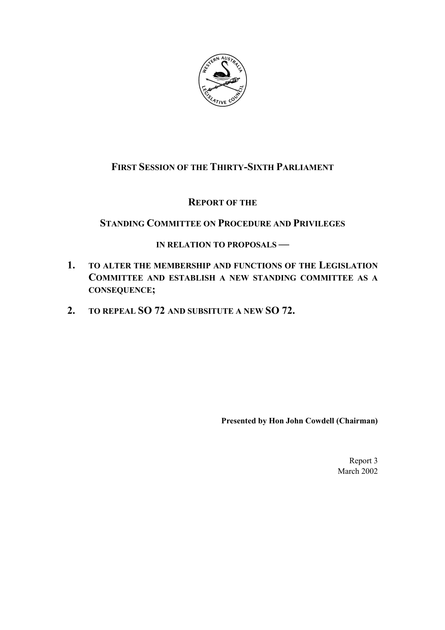

# **FIRST SESSION OF THE THIRTY-SIXTH PARLIAMENT**

### **REPORT OF THE**

## **STANDING COMMITTEE ON PROCEDURE AND PRIVILEGES**

### **IN RELATION TO PROPOSALS —**

- **1. TO ALTER THE MEMBERSHIP AND FUNCTIONS OF THE LEGISLATION COMMITTEE AND ESTABLISH A NEW STANDING COMMITTEE AS A CONSEQUENCE;**
- **2. TO REPEAL SO 72 AND SUBSITUTE A NEW SO 72.**

**Presented by Hon John Cowdell (Chairman)**

Report 3 March 2002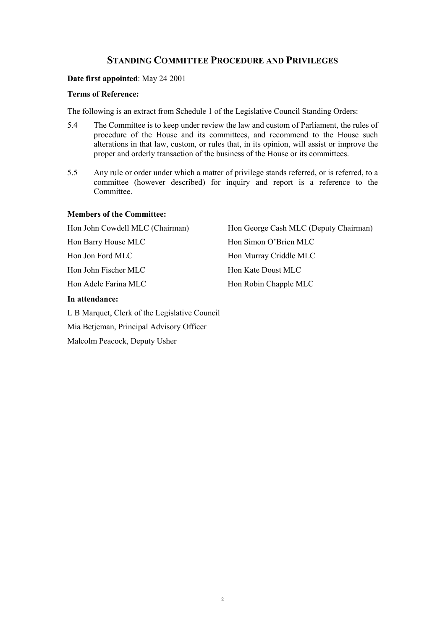### **STANDING COMMITTEE PROCEDURE AND PRIVILEGES**

#### **Date first appointed**: May 24 2001

#### **Terms of Reference:**

The following is an extract from Schedule 1 of the Legislative Council Standing Orders:

- 5.4 The Committee is to keep under review the law and custom of Parliament, the rules of procedure of the House and its committees, and recommend to the House such alterations in that law, custom, or rules that, in its opinion, will assist or improve the proper and orderly transaction of the business of the House or its committees.
- 5.5 Any rule or order under which a matter of privilege stands referred, or is referred, to a committee (however described) for inquiry and report is a reference to the Committee.

#### **Members of the Committee:**

| Hon John Cowdell MLC (Chairman) | Hon George Cash MLC (Deputy Chairman) |
|---------------------------------|---------------------------------------|
| Hon Barry House MLC             | Hon Simon O'Brien MLC                 |
| Hon Jon Ford MLC                | Hon Murray Criddle MLC                |
| Hon John Fischer MLC            | Hon Kate Doust MLC                    |
| Hon Adele Farina MLC            | Hon Robin Chapple MLC                 |

#### **In attendance:**

L B Marquet, Clerk of the Legislative Council Mia Betjeman, Principal Advisory Officer Malcolm Peacock, Deputy Usher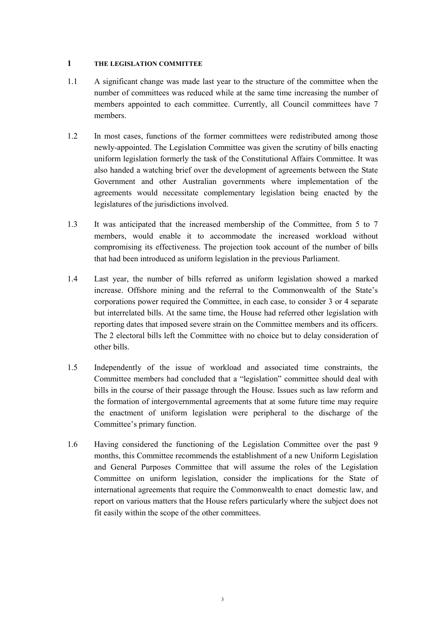#### **1 THE LEGISLATION COMMITTEE**

- 1.1 A significant change was made last year to the structure of the committee when the number of committees was reduced while at the same time increasing the number of members appointed to each committee. Currently, all Council committees have 7 members.
- 1.2 In most cases, functions of the former committees were redistributed among those newly-appointed. The Legislation Committee was given the scrutiny of bills enacting uniform legislation formerly the task of the Constitutional Affairs Committee. It was also handed a watching brief over the development of agreements between the State Government and other Australian governments where implementation of the agreements would necessitate complementary legislation being enacted by the legislatures of the jurisdictions involved.
- 1.3 It was anticipated that the increased membership of the Committee, from 5 to 7 members, would enable it to accommodate the increased workload without compromising its effectiveness. The projection took account of the number of bills that had been introduced as uniform legislation in the previous Parliament.
- 1.4 Last year, the number of bills referred as uniform legislation showed a marked increase. Offshore mining and the referral to the Commonwealth of the State's corporations power required the Committee, in each case, to consider 3 or 4 separate but interrelated bills. At the same time, the House had referred other legislation with reporting dates that imposed severe strain on the Committee members and its officers. The 2 electoral bills left the Committee with no choice but to delay consideration of other bills.
- 1.5 Independently of the issue of workload and associated time constraints, the Committee members had concluded that a "legislation" committee should deal with bills in the course of their passage through the House. Issues such as law reform and the formation of intergovernmental agreements that at some future time may require the enactment of uniform legislation were peripheral to the discharge of the Committee's primary function.
- 1.6 Having considered the functioning of the Legislation Committee over the past 9 months, this Committee recommends the establishment of a new Uniform Legislation and General Purposes Committee that will assume the roles of the Legislation Committee on uniform legislation, consider the implications for the State of international agreements that require the Commonwealth to enact domestic law, and report on various matters that the House refers particularly where the subject does not fit easily within the scope of the other committees.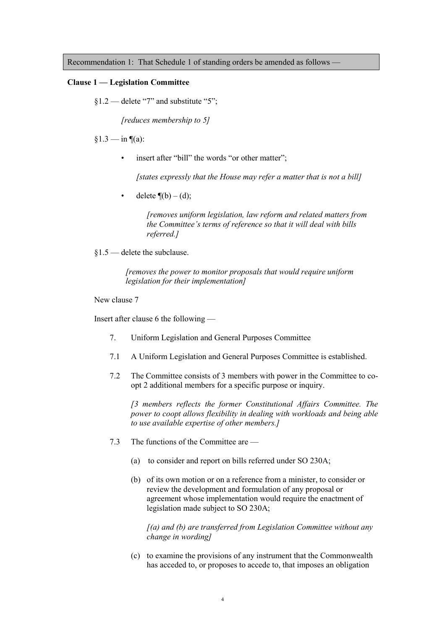Recommendation 1: That Schedule 1 of standing orders be amended as follows —

#### **Clause 1 – Legislation Committee**

 $§1.2$   $\rightarrow$  delete "7" and substitute "5";

*[reduces membership to 5]*

 $§1.3 - in$  ¶(a):

insert after "bill" the words "or other matter";

*[states expressly that the House may refer a matter that is not a bill]*

delete  $\P(b) - (d)$ ;

*[removes uniform legislation, law reform and related matters from* the Committee's terms of reference so that it will deal with bills *referred.]*

 $$1.5$  – delete the subclause.

*[removes the power to monitor proposals that would require uniform legislation for their implementation]*

New clause 7

Insert after clause 6 the following  $-$ 

- 7. Uniform Legislation and General Purposes Committee
- 7.1 A Uniform Legislation and General Purposes Committee is established.
- 7.2 The Committee consists of 3 members with power in the Committee to coopt 2 additional members for a specific purpose or inquiry.

*[3 members reflects the former Constitutional Affairs Committee. The power to coopt allows flexibility in dealing with workloads and being able to use available expertise of other members.]*

- 7.3 The functions of the Committee are  $\overline{\phantom{a}}$ 
	- (a) to consider and report on bills referred under SO 230A;
	- (b) of its own motion or on a reference from a minister, to consider or review the development and formulation of any proposal or agreement whose implementation would require the enactment of legislation made subject to SO 230A;

*[(a) and (b) are transferred from Legislation Committee without any change in wording]*

(c) to examine the provisions of any instrument that the Commonwealth has acceded to, or proposes to accede to, that imposes an obligation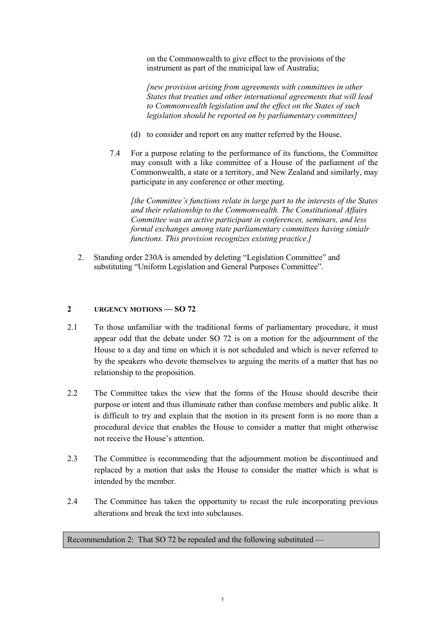on the Commonwealth to give effect to the provisions of the instrument as part of the municipal law of Australia;

*[new provision arising from agreements with committees in other States that treaties and other international agreements that will lead to Commonwealth legislation and the effect on the States of such legislation should be reported on by parliamentary committees]*

- (d) to consider and report on any matter referred by the House.
- 7.4 For a purpose relating to the performance of its functions, the Committee may consult with a like committee of a House of the parliament of the Commonwealth, a state or a territory, and New Zealand and similarly, may participate in any conference or other meeting.

*[the Committee's functions relate in large part to the interests of the States and their relationship to the Commonwealth. The Constitutional Affairs Committee was an active participant in conferences, seminars, and less formal exchanges among state parliamentary committees having simialr functions. This provision recognizes existing practice.]*

2. Standing order 230A is amended by deleting "Legislation Committee" and substituting "Uniform Legislation and General Purposes Committee".

### **2 URGENCY MOTIONS** — SO 72

- 2.1 To those unfamiliar with the traditional forms of parliamentary procedure, it must appear odd that the debate under SO 72 is on a motion for the adjournment of the House to a day and time on which it is not scheduled and which is never referred to by the speakers who devote themselves to arguing the merits of a matter that has no relationship to the proposition.
- 2.2 The Committee takes the view that the forms of the House should describe their purpose or intent and thus illuminate rather than confuse members and public alike. It is difficult to try and explain that the motion in its present form is no more than a procedural device that enables the House to consider a matter that might otherwise not receive the House's attention.
- 2.3 The Committee is recommending that the adjournment motion be discontinued and replaced by a motion that asks the House to consider the matter which is what is intended by the member.
- 2.4 The Committee has taken the opportunity to recast the rule incorporating previous alterations and break the text into subclauses.

Recommendation 2: That SO 72 be repealed and the following substituted  $-\frac{1}{2}$